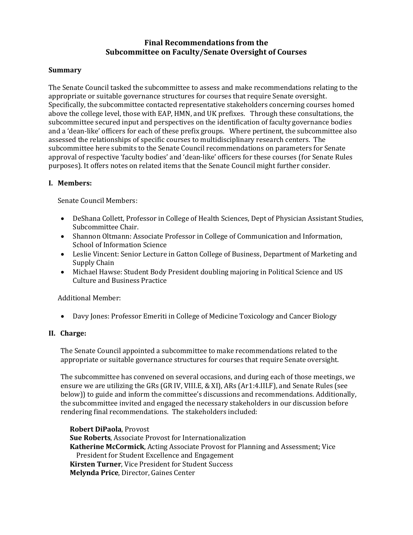# **Final Recommendations from the Subcommittee on Faculty/Senate Oversight of Courses**

### **Summary**

The Senate Council tasked the subcommittee to assess and make recommendations relating to the appropriate or suitable governance structures for courses that require Senate oversight. Specifically, the subcommittee contacted representative stakeholders concerning courses homed above the college level, those with EAP, HMN, and UK prefixes. Through these consultations, the subcommittee secured input and perspectives on the identification of faculty governance bodies and a 'dean-like' officers for each of these prefix groups. Where pertinent, the subcommittee also assessed the relationships of specific courses to multidisciplinary research centers. The subcommittee here submits to the Senate Council recommendations on parameters for Senate approval of respective 'faculty bodies' and 'dean-like' officers for these courses (for Senate Rules purposes). It offers notes on related items that the Senate Council might further consider.

### **I. Members:**

Senate Council Members:

- DeShana Collett, Professor in College of Health Sciences, Dept of Physician Assistant Studies, Subcommittee Chair.
- Shannon Oltmann: Associate Professor in College of Communication and Information, School of Information Science
- Leslie Vincent: Senior Lecture in Gatton College of Business, Department of Marketing and Supply Chain
- Michael Hawse: Student Body President doubling majoring in Political Science and US Culture and Business Practice

Additional Member:

• Davy Jones: Professor Emeriti in College of Medicine Toxicology and Cancer Biology

#### **II. Charge:**

The Senate Council appointed a subcommittee to make recommendations related to the appropriate or suitable governance structures for courses that require Senate oversight.

The subcommittee has convened on several occasions, and during each of those meetings, we ensure we are utilizing the GRs (GR IV, VIII.E, & XI), ARs (Ar1:4.III.F), and Senate Rules (see below)) to guide and inform the committee's discussions and recommendations. Additionally, the subcommittee invited and engaged the necessary stakeholders in our discussion before rendering final recommendations. The stakeholders included:

**Robert DiPaola**, Provost **Sue Roberts**, Associate Provost for Internationalization **Katherine McCormick**, Acting Associate Provost for Planning and Assessment; Vice President for Student Excellence and Engagement **Kirsten Turner**, Vice President for Student Success **Melynda Price**, Director, Gaines Center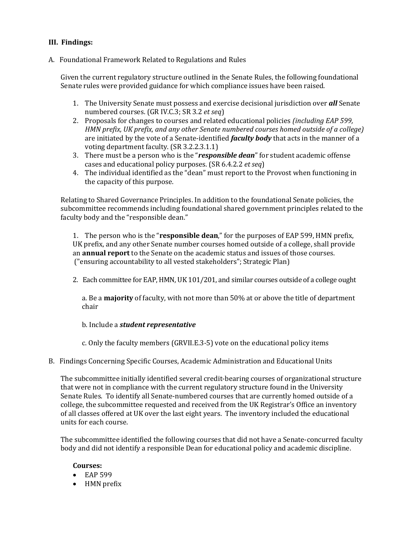# **III. Findings:**

#### A. Foundational Framework Related to Regulations and Rules

Given the current regulatory structure outlined in the Senate Rules, the following foundational Senate rules were provided guidance for which compliance issues have been raised.

- 1. The University Senate must possess and exercise decisional jurisdiction over *all* Senate numbered courses. (GR IV.C.3; SR 3.2 *et seq*)
- 2. Proposals for changes to courses and related educational policies *(including EAP 599, HMN prefix, UK prefix, and any other Senate numbered courses homed outside of a college)*  are initiated by the vote of a Senate-identified *faculty body* that acts in the manner of a voting department faculty. (SR 3.2.2.3.1.1)
- 3. There must be a person who is the "*responsible dean*" for student academic offense cases and educational policy purposes. (SR 6.4.2.2 *et seq*)
- 4. The individual identified as the "dean" must report to the Provost when functioning in the capacity of this purpose.

Relating to Shared Governance Principles. In addition to the foundational Senate policies, the subcommittee recommends including foundational shared government principles related to the faculty body and the "responsible dean."

1. The person who is the "**responsible dean**," for the purposes of EAP 599, HMN prefix, UK prefix, and any other Senate number courses homed outside of a college, shall provide an **annual report** to the Senate on the academic status and issues of those courses.  ("ensuring accountability to all vested stakeholders"; Strategic Plan)

2. Each committee for EAP, HMN, UK 101/201, and similar courses outside of a college ought

a. Be a **majority** of faculty, with not more than 50% at or above the title of department chair

b. Include a *student representative*

c. Only the faculty members (GRVII.E.3-5) vote on the educational policy items

B. Findings Concerning Specific Courses, Academic Administration and Educational Units

The subcommittee initially identified several credit-bearing courses of organizational structure that were not in compliance with the current regulatory structure found in the University Senate Rules. To identify all Senate-numbered courses that are currently homed outside of a college, the subcommittee requested and received from the UK Registrar's Office an inventory of all classes offered at UK over the last eight years. The inventory included the educational units for each course.

The subcommittee identified the following courses that did not have a Senate-concurred faculty body and did not identify a responsible Dean for educational policy and academic discipline.

#### **Courses:**

- EAP 599
- HMN prefix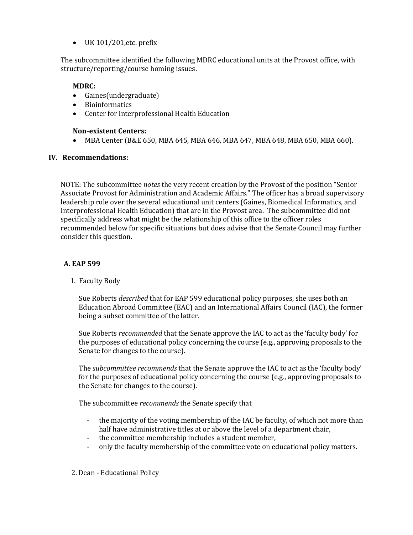$\bullet$  UK 101/201, etc. prefix

The subcommittee identified the following MDRC educational units at the Provost office, with structure/reporting/course homing issues.

# **MDRC:**

- Gaines(undergraduate)
- Bioinformatics
- Center for Interprofessional Health Education

# **Non-existent Centers:**

• MBA Center (B&E 650, MBA 645, MBA 646, MBA 647, MBA 648, MBA 650, MBA 660).

### **IV. Recommendations:**

NOTE: The subcommittee *notes* the very recent creation by the Provost of the position "Senior Associate Provost for Administration and Academic Affairs." The officer has a broad supervisory leadership role over the several educational unit centers (Gaines, Biomedical Informatics, and Interprofessional Health Education) that are in the Provost area. The subcommittee did not specifically address what might be the relationship of this office to the officer roles recommended below for specific situations but does advise that the Senate Council may further consider this question.

# **A. EAP 599**

1. Faculty Body

Sue Roberts *described* that for EAP 599 educational policy purposes, she uses both an Education Abroad Committee (EAC) and an International Affairs Council (IAC), the former being a subset committee of the latter.

Sue Roberts *recommended* that the Senate approve the IAC to act as the 'faculty body' for the purposes of educational policy concerning the course (e.g., approving proposals to the Senate for changes to the course).

The *subcommittee recommends* that the Senate approve the IAC to act as the 'faculty body' for the purposes of educational policy concerning the course (e.g., approving proposals to the Senate for changes to the course).

The subcommittee *recommends* the Senate specify that

- the majority of the voting membership of the IAC be faculty, of which not more than half have administrative titles at or above the level of a department chair,
- the committee membership includes a student member,
- only the faculty membership of the committee vote on educational policy matters.
- 2. Dean Educational Policy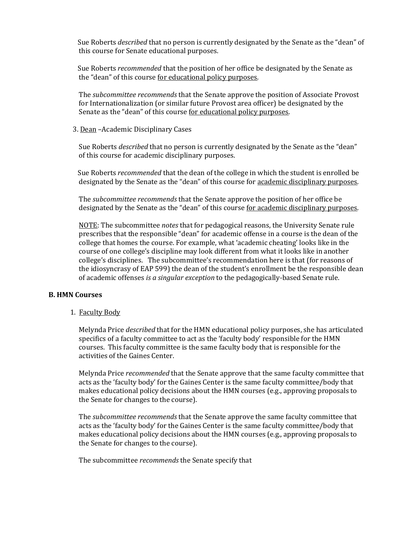Sue Roberts *described* that no person is currently designated by the Senate as the "dean" of this course for Senate educational purposes.

 Sue Roberts *recommended* that the position of her office be designated by the Senate as the "dean" of this course for educational policy purposes.

The *subcommittee recommends* that the Senate approve the position of Associate Provost for Internationalization (or similar future Provost area officer) be designated by the Senate as the "dean" of this course for educational policy purposes.

3. Dean –Academic Disciplinary Cases

Sue Roberts *described* that no person is currently designated by the Senate as the "dean" of this course for academic disciplinary purposes.

 Sue Roberts *recommended* that the dean of the college in which the student is enrolled be designated by the Senate as the "dean" of this course for academic disciplinary purposes.

The *subcommittee recommends* that the Senate approve the position of her office be designated by the Senate as the "dean" of this course for academic disciplinary purposes.

NOTE: The subcommittee *notes* that for pedagogical reasons, the University Senate rule prescribes that the responsible "dean" for academic offense in a course is the dean of the college that homes the course. For example, what 'academic cheating' looks like in the course of one college's discipline may look different from what it looks like in another college's disciplines. The subcommittee's recommendation here is that (for reasons of the idiosyncrasy of EAP 599) the dean of the student's enrollment be the responsible dean of academic offenses *is a singular exception* to the pedagogically-based Senate rule.

#### **B. HMN Courses**

1. Faculty Body

Melynda Price *described* that for the HMN educational policy purposes, she has articulated specifics of a faculty committee to act as the 'faculty body' responsible for the HMN courses. This faculty committee is the same faculty body that is responsible for the activities of the Gaines Center.

Melynda Price *recommended* that the Senate approve that the same faculty committee that acts as the 'faculty body' for the Gaines Center is the same faculty committee/body that makes educational policy decisions about the HMN courses (e.g., approving proposals to the Senate for changes to the course).

The *subcommittee recommends* that the Senate approve the same faculty committee that acts as the 'faculty body' for the Gaines Center is the same faculty committee/body that makes educational policy decisions about the HMN courses (e.g., approving proposals to the Senate for changes to the course).

The subcommittee *recommends* the Senate specify that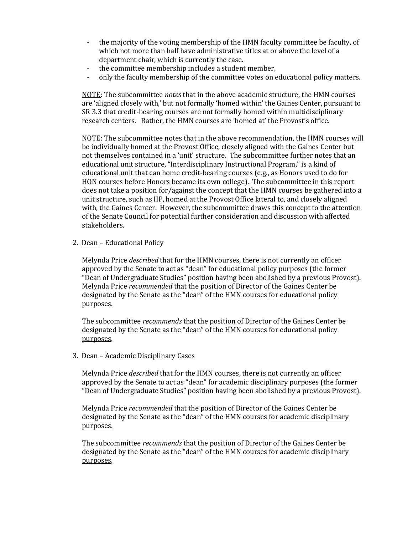- the majority of the voting membership of the HMN faculty committee be faculty, of which not more than half have administrative titles at or above the level of a department chair, which is currently the case.
- the committee membership includes a student member,
- only the faculty membership of the committee votes on educational policy matters.

NOTE: The subcommittee *notes* that in the above academic structure, the HMN courses are 'aligned closely with,' but not formally 'homed within' the Gaines Center, pursuant to SR 3.3 that credit-bearing courses are not formally homed within multidisciplinary research centers. Rather, the HMN courses are 'homed at' the Provost's office.

NOTE: The subcommittee notes that in the above recommendation, the HMN courses will be individually homed at the Provost Office, closely aligned with the Gaines Center but not themselves contained in a 'unit' structure. The subcommittee further notes that an educational unit structure, "Interdisciplinary Instructional Program," is a kind of educational unit that can home credit-bearing courses (e.g., as Honors used to do for HON courses before Honors became its own college). The subcommittee in this report does not take a position for/against the concept that the HMN courses be gathered into a unit structure, such as IIP, homed at the Provost Office lateral to, and closely aligned with, the Gaines Center. However, the subcommittee draws this concept to the attention of the Senate Council for potential further consideration and discussion with affected stakeholders.

2. Dean – Educational Policy

 Melynda Price *described* that for the HMN courses, there is not currently an officer approved by the Senate to act as "dean" for educational policy purposes (the former "Dean of Undergraduate Studies" position having been abolished by a previous Provost). Melynda Price *recommended* that the position of Director of the Gaines Center be designated by the Senate as the "dean" of the HMN courses for educational policy purposes.

The subcommittee *recommends* that the position of Director of the Gaines Center be designated by the Senate as the "dean" of the HMN courses for educational policy purposes.

3. Dean – Academic Disciplinary Cases

Melynda Price *described* that for the HMN courses, there is not currently an officer approved by the Senate to act as "dean" for academic disciplinary purposes (the former "Dean of Undergraduate Studies" position having been abolished by a previous Provost).

Melynda Price *recommended* that the position of Director of the Gaines Center be designated by the Senate as the "dean" of the HMN courses for academic disciplinary purposes.

The subcommittee *recommends* that the position of Director of the Gaines Center be designated by the Senate as the "dean" of the HMN courses for academic disciplinary purposes.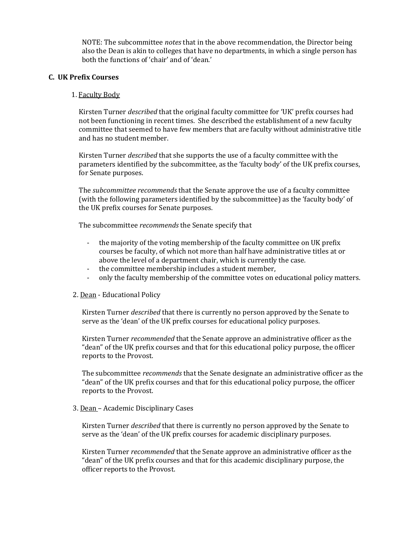NOTE: The subcommittee *notes* that in the above recommendation, the Director being also the Dean is akin to colleges that have no departments, in which a single person has both the functions of 'chair' and of 'dean.'

#### **C. UK Prefix Courses**

#### 1. Faculty Body

Kirsten Turner *described* that the original faculty committee for 'UK' prefix courses had not been functioning in recent times. She described the establishment of a new faculty committee that seemed to have few members that are faculty without administrative title and has no student member.

Kirsten Turner *described* that she supports the use of a faculty committee with the parameters identified by the subcommittee, as the 'faculty body' of the UK prefix courses, for Senate purposes.

The *subcommittee recommends* that the Senate approve the use of a faculty committee (with the following parameters identified by the subcommittee) as the 'faculty body' of the UK prefix courses for Senate purposes.

The subcommittee *recommends* the Senate specify that

- the majority of the voting membership of the faculty committee on UK prefix courses be faculty, of which not more than half have administrative titles at or above the level of a department chair, which is currently the case.
- the committee membership includes a student member,
- only the faculty membership of the committee votes on educational policy matters.

#### 2. Dean - Educational Policy

Kirsten Turner *described* that there is currently no person approved by the Senate to serve as the 'dean' of the UK prefix courses for educational policy purposes.

Kirsten Turner *recommended* that the Senate approve an administrative officer as the "dean" of the UK prefix courses and that for this educational policy purpose, the officer reports to the Provost.

The subcommittee *recommends* that the Senate designate an administrative officer as the "dean" of the UK prefix courses and that for this educational policy purpose, the officer reports to the Provost.

#### 3. Dean – Academic Disciplinary Cases

Kirsten Turner *described* that there is currently no person approved by the Senate to serve as the 'dean' of the UK prefix courses for academic disciplinary purposes.

Kirsten Turner *recommended* that the Senate approve an administrative officer as the "dean" of the UK prefix courses and that for this academic disciplinary purpose, the officer reports to the Provost.